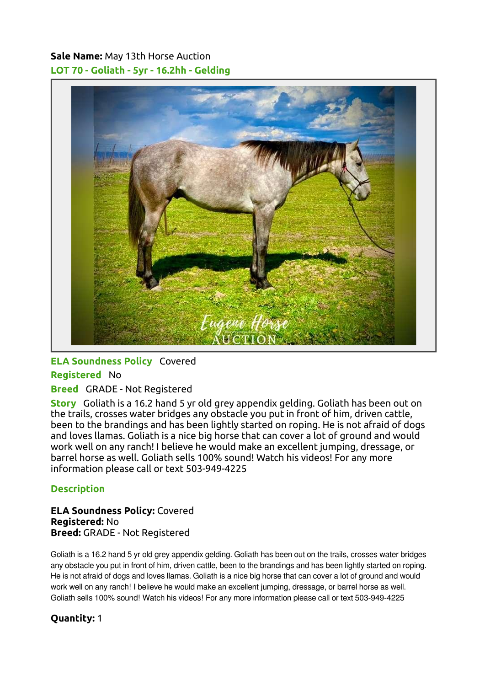# Sale Name: May 13th Horse Auction LOT 70 - Goliath - 5yr - 16.2hh - Gelding



## ELA Soundness Policy Covered

#### Registered No

## Breed GRADE - Not Registered

Story Goliath is a 16.2 hand 5 yr old grey appendix gelding. Goliath has been out on the trails, crosses water bridges any obstacle you put in front of him, driven cattle, been to the brandings and has been lightly started on roping. He is not afraid of dogs and loves llamas. Goliath is a nice big horse that can cover a lot of ground and would work well on any ranch! I believe he would make an excellent jumping, dressage, or barrel horse as well. Goliath sells 100% sound! Watch his videos! For any more information please call or text 503-949-4225

## **Description**

#### ELA Soundness Policy: Covered Registered: No Breed: GRADE - Not Registered

Goliath is a 16.2 hand 5 yr old grey appendix gelding. Goliath has been out on the trails, crosses water bridges any obstacle you put in front of him, driven cattle, been to the brandings and has been lightly started on roping. He is not afraid of dogs and loves llamas. Goliath is a nice big horse that can cover a lot of ground and would work well on any ranch! I believe he would make an excellent jumping, dressage, or barrel horse as well. Goliath sells 100% sound! Watch his videos! For any more information please call or text 503-949-4225

## Quantity: 1